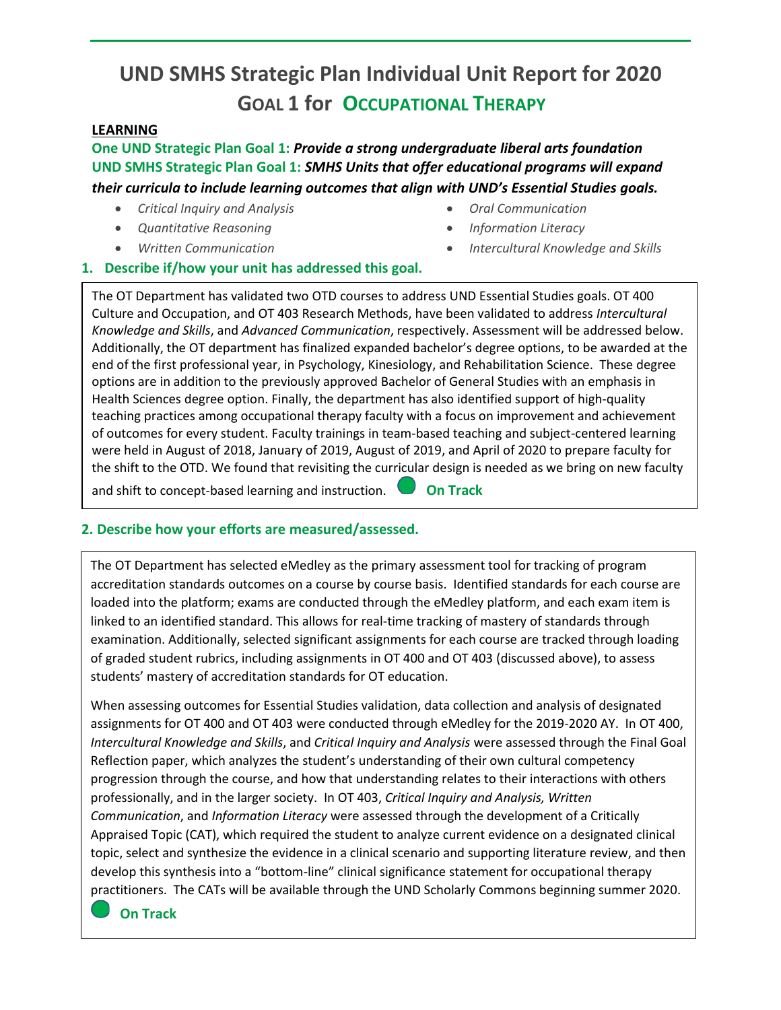# **UND SMHS Strategic Plan Individual Unit Report for 2020 GOAL 1 for OCCUPATIONAL THERAPY**

## **LEARNING**

**One UND Strategic Plan Goal 1:** *Provide a strong undergraduate liberal arts foundation* **UND SMHS Strategic Plan Goal 1:** *SMHS Units that offer educational programs will expand their curricula to include learning outcomes that align with UND's Essential Studies goals.* 

- *Critical Inquiry and Analysis*
- *Quantitative Reasoning*
- *Written Communication*
- *Oral Communication*
- *Information Literacy*
- *Intercultural Knowledge and Skills*

### **1. Describe if/how your unit has addressed this goal.**

The OT Department has validated two OTD courses to address UND Essential Studies goals. OT 400 Culture and Occupation, and OT 403 Research Methods, have been validated to address *Intercultural Knowledge and Skills*, and *Advanced Communication*, respectively. Assessment will be addressed below. Additionally, the OT department has finalized expanded bachelor's degree options, to be awarded at the end of the first professional year, in Psychology, Kinesiology, and Rehabilitation Science. These degree options are in addition to the previously approved Bachelor of General Studies with an emphasis in Health Sciences degree option. Finally, the department has also identified support of high-quality teaching practices among occupational therapy faculty with a focus on improvement and achievement of outcomes for every student. Faculty trainings in team-based teaching and subject-centered learning were held in August of 2018, January of 2019, August of 2019, and April of 2020 to prepare faculty for the shift to the OTD. We found that revisiting the curricular design is needed as we bring on new faculty and shift to concept-based learning and instruction. **On Track**

### **2. Describe how your efforts are measured/assessed.**

The OT Department has selected eMedley as the primary assessment tool for tracking of program accreditation standards outcomes on a course by course basis. Identified standards for each course are loaded into the platform; exams are conducted through the eMedley platform, and each exam item is linked to an identified standard. This allows for real-time tracking of mastery of standards through examination. Additionally, selected significant assignments for each course are tracked through loading of graded student rubrics, including assignments in OT 400 and OT 403 (discussed above), to assess students' mastery of accreditation standards for OT education.

When assessing outcomes for Essential Studies validation, data collection and analysis of designated assignments for OT 400 and OT 403 were conducted through eMedley for the 2019-2020 AY. In OT 400, *Intercultural Knowledge and Skills*, and *Critical Inquiry and Analysis* were assessed through the Final Goal Reflection paper, which analyzes the student's understanding of their own cultural competency progression through the course, and how that understanding relates to their interactions with others professionally, and in the larger society. In OT 403, *Critical Inquiry and Analysis, Written Communication*, and *Information Literacy* were assessed through the development of a Critically Appraised Topic (CAT), which required the student to analyze current evidence on a designated clinical topic, select and synthesize the evidence in a clinical scenario and supporting literature review, and then develop this synthesis into a "bottom-line" clinical significance statement for occupational therapy practitioners. The CATs will be available through the UND Scholarly Commons beginning summer 2020.